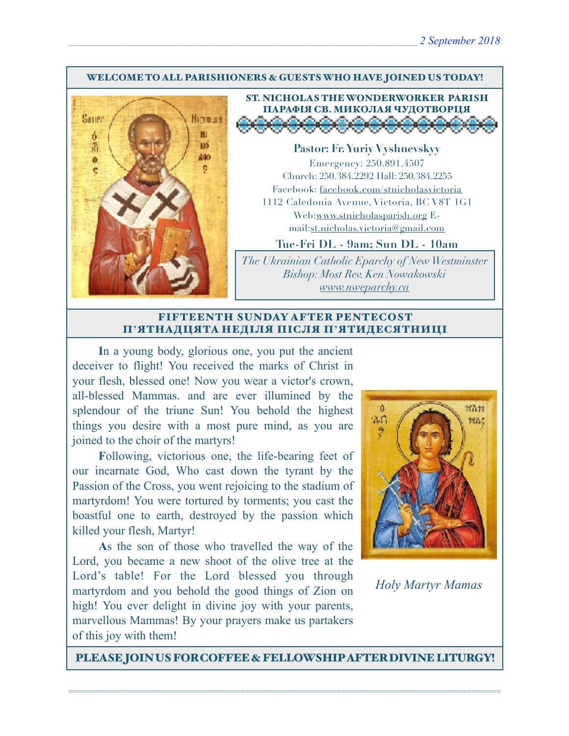#### WELCOME TO ALL PARISHIONERS & GUESTS WHO HAVE JOINED US TODAY!



ST. NICHOLAS THE WONDERWORKER PARISH ПАРАФІЯ СВ. МИКОЛАЯ ЧУДОТВОРЦЯ

**Pastor: Fr. Yuriy Vyshnevskyy** Emergency: 250.891.4507 Church: 250.384.2292 Hall: 250.384.2255 Facebook: facebook.com/stnicholasvictoria 1112 Caledonia Avenue, Victoria, BC V8T 1G1 Web[:www.stnicholasparish.org](http://www.stnicholasparish.org) Email:[st.nicholas.victoria@gmail.com](mailto:st.nicholas.victoria@gmail.com)

**Tue-Fri DL - 9am; Sun DL - 10am**

*The Ukrainian Catholic Eparchy of New Westminster Bishop: Most Rev. Ken Nowakowski [www.nweparchy.ca](http://www.nweparchy.ca)*

#### FIFTEENTH SUNDAY AFTER PENTECOST П**'**ЯТНАДЦЯТА НЕДІЛЯ ПІСЛЯ П**'**ЯТИДЕСЯТНИЦІ

**I**n a young body, glorious one, you put the ancient deceiver to flight! You received the marks of Christ in your flesh, blessed one! Now you wear a victor's crown, all-blessed Mammas. and are ever illumined by the splendour of the triune Sun! You behold the highest things you desire with a most pure mind, as you are joined to the choir of the martyrs!

**F**ollowing, victorious one, the life-bearing feet of our incarnate God, Who cast down the tyrant by the Passion of the Cross, you went rejoicing to the stadium of martyrdom! You were tortured by torments; you cast the boastful one to earth, destroyed by the passion which killed your flesh, Martyr!

**A**s the son of those who travelled the way of the Lord, you became a new shoot of the olive tree at the Lord's table! For the Lord blessed you through martyrdom and you behold the good things of Zion on high! You ever delight in divine joy with your parents, marvellous Mammas! By your prayers make us partakers of this joy with them!



*Holy Martyr Mamas*

PLEASE JOIN US FOR COFFEE & FELLOWSHIP AFTER DIVINE LITURGY!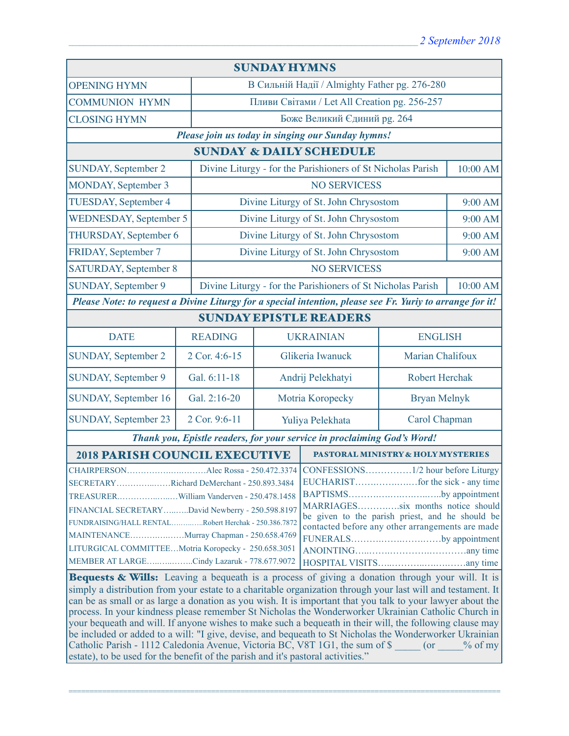| <b>SUNDAY HYMNS</b>                                                                                                                                         |                |                                                                         |                                                             |                       |          |  |
|-------------------------------------------------------------------------------------------------------------------------------------------------------------|----------------|-------------------------------------------------------------------------|-------------------------------------------------------------|-----------------------|----------|--|
| <b>OPENING HYMN</b>                                                                                                                                         |                |                                                                         | В Сильній Надії / Almighty Father pg. 276-280               |                       |          |  |
| <b>COMMUNION HYMN</b>                                                                                                                                       |                | Пливи Світами / Let All Creation pg. 256-257                            |                                                             |                       |          |  |
| <b>CLOSING HYMN</b>                                                                                                                                         |                | Боже Великий Єдиний рg. 264                                             |                                                             |                       |          |  |
| Please join us today in singing our Sunday hymns!                                                                                                           |                |                                                                         |                                                             |                       |          |  |
| <b>SUNDAY &amp; DAILY SCHEDULE</b>                                                                                                                          |                |                                                                         |                                                             |                       |          |  |
| <b>SUNDAY, September 2</b>                                                                                                                                  |                |                                                                         | Divine Liturgy - for the Parishioners of St Nicholas Parish |                       | 10:00 AM |  |
| MONDAY, September 3                                                                                                                                         |                |                                                                         | <b>NO SERVICESS</b>                                         |                       |          |  |
| TUESDAY, September 4                                                                                                                                        |                | Divine Liturgy of St. John Chrysostom                                   |                                                             |                       | 9:00 AM  |  |
| <b>WEDNESDAY, September 5</b>                                                                                                                               |                |                                                                         | Divine Liturgy of St. John Chrysostom                       |                       |          |  |
| THURSDAY, September 6                                                                                                                                       |                |                                                                         | Divine Liturgy of St. John Chrysostom                       |                       | 9:00 AM  |  |
| FRIDAY, September 7                                                                                                                                         |                |                                                                         | Divine Liturgy of St. John Chrysostom                       |                       | 9:00 AM  |  |
| <b>SATURDAY, September 8</b>                                                                                                                                |                | <b>NO SERVICESS</b>                                                     |                                                             |                       |          |  |
| <b>SUNDAY, September 9</b>                                                                                                                                  |                | Divine Liturgy - for the Parishioners of St Nicholas Parish<br>10:00 AM |                                                             |                       |          |  |
| Please Note: to request a Divine Liturgy for a special intention, please see Fr. Yuriy to arrange for it!                                                   |                |                                                                         |                                                             |                       |          |  |
| <b>SUNDAY EPISTLE READERS</b>                                                                                                                               |                |                                                                         |                                                             |                       |          |  |
| <b>DATE</b>                                                                                                                                                 | <b>READING</b> |                                                                         | <b>UKRAINIAN</b>                                            | <b>ENGLISH</b>        |          |  |
| <b>SUNDAY, September 2</b>                                                                                                                                  | 2 Cor. 4:6-15  | Glikeria Iwanuck                                                        |                                                             | Marian Chalifoux      |          |  |
| SUNDAY, September 9                                                                                                                                         | Gal. 6:11-18   |                                                                         | Andrij Pelekhatyi                                           | <b>Robert Herchak</b> |          |  |
| SUNDAY, September 16                                                                                                                                        | Gal. 2:16-20   | Motria Koropecky                                                        |                                                             | <b>Bryan Melnyk</b>   |          |  |
| SUNDAY, September 23                                                                                                                                        | 2 Cor. 9:6-11  | Yuliya Pelekhata                                                        |                                                             | Carol Chapman         |          |  |
| Thank you, Epistle readers, for your service in proclaiming God's Word!                                                                                     |                |                                                                         |                                                             |                       |          |  |
| <b>2018 PARISH COUNCIL EXECUTIVE</b><br>PASTORAL MINISTRY & HOLY MYSTERIES                                                                                  |                |                                                                         |                                                             |                       |          |  |
|                                                                                                                                                             |                |                                                                         |                                                             |                       |          |  |
| SECRETARYRichard DeMerchant - 250.893.3484                                                                                                                  |                |                                                                         |                                                             |                       |          |  |
|                                                                                                                                                             |                |                                                                         | BAPTISMSby appointment                                      |                       |          |  |
| MARRIAGESsix months notice should<br>FINANCIAL SECRETARYDavid Newberry - 250.598.8197                                                                       |                |                                                                         |                                                             |                       |          |  |
| be given to the parish priest, and he should be<br>FUNDRAISING/HALL RENTALRobert Herchak - 250.386.7872<br>contacted before any other arrangements are made |                |                                                                         |                                                             |                       |          |  |
| MAINTENANCEMurray Chapman - 250.658.4769<br>FUNERALSby appointment                                                                                          |                |                                                                         |                                                             |                       |          |  |
| LITURGICAL COMMITTEEMotria Koropecky - 250.658.3051                                                                                                         |                |                                                                         |                                                             |                       |          |  |
| MEMBER AT LARGECindy Lazaruk - 778.677.9072                                                                                                                 |                |                                                                         |                                                             |                       |          |  |
| <b>Bequests &amp; Wills:</b> Leaving a bequeath is a process of giving a donation through your will. It is                                                  |                |                                                                         |                                                             |                       |          |  |
| simply a distribution from your estate to a charitable organization through your last will and testament. It                                                |                |                                                                         |                                                             |                       |          |  |
| can be as small or as large a donation as you wish. It is important that you talk to your lawyer about the                                                  |                |                                                                         |                                                             |                       |          |  |
| process. In your kindness please remember St Nicholas the Wonderworker Ukrainian Catholic Church in                                                         |                |                                                                         |                                                             |                       |          |  |
| your bequeath and will. If anyone wishes to make such a bequeath in their will, the following clause may                                                    |                |                                                                         |                                                             |                       |          |  |
| be included or added to a will: "I give, devise, and bequeath to St Nicholas the Wonderworker Ukrainian                                                     |                |                                                                         |                                                             |                       |          |  |
| Catholic Parish - 1112 Caledonia Avenue, Victoria BC, V8T 1G1, the sum of \$ (or % of my                                                                    |                |                                                                         |                                                             |                       |          |  |
| estate), to be used for the benefit of the parish and it's pastoral activities."                                                                            |                |                                                                         |                                                             |                       |          |  |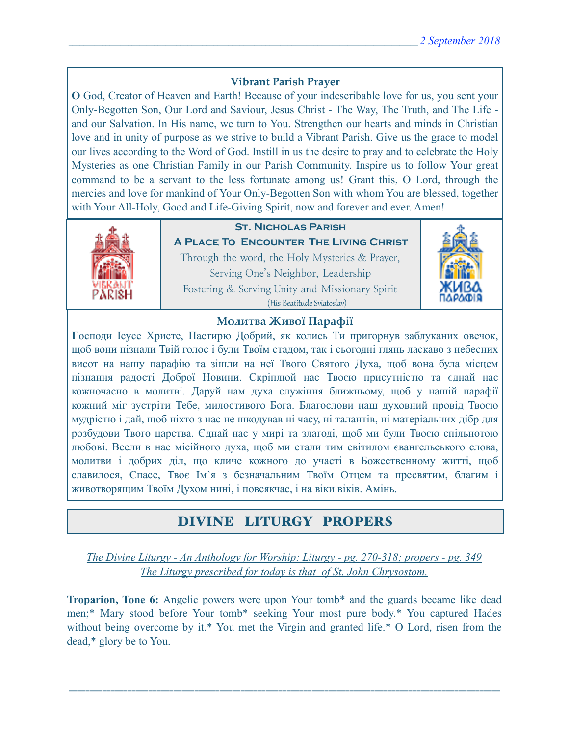### **Vibrant Parish Prayer**

**O** God, Creator of Heaven and Earth! Because of your indescribable love for us, you sent your Only-Begotten Son, Our Lord and Saviour, Jesus Christ - The Way, The Truth, and The Life and our Salvation. In His name, we turn to You. Strengthen our hearts and minds in Christian love and in unity of purpose as we strive to build a Vibrant Parish. Give us the grace to model our lives according to the Word of God. Instill in us the desire to pray and to celebrate the Holy Mysteries as one Christian Family in our Parish Community. Inspire us to follow Your great command to be a servant to the less fortunate among us! Grant this, O Lord, through the mercies and love for mankind of Your Only-Begotten Son with whom You are blessed, together with Your All-Holy, Good and Life-Giving Spirit, now and forever and ever. Amen!



## **St. Nicholas Parish**

**A Place To Encounter The Living Christ** Through the word, the Holy Mysteries & Prayer, Serving One's Neighbor, Leadership Fostering & Serving Unity and Missionary Spirit (His Beatitude Sviatoslav)



### **Молитва Живої Парафії**

**Г**осподи Ісусе Христе, Пастирю Добрий, як колись Ти пригорнув заблуканих овечок, щоб вони пізнали Твій голос і були Твоїм стадом, так і сьогодні глянь ласкаво з небесних висот на нашу парафію та зішли на неї Твого Святого Духа, щоб вона була місцем пізнання радості Доброї Новини. Скріплюй нас Твоєю присутністю та єднай нас кожночасно в молитві. Даруй нам духа служіння ближньому, щоб у нашій парафії кожний міг зустріти Тебе, милостивого Бога. Благослови наш духовний провід Твоєю мудрістю і дай, щоб ніхто з нас не шкодував ні часу, ні талантів, ні матеріальних дібр для розбудови Твого царства. Єднай нас у мирі та злагоді, щоб ми були Твоєю спільнотою любові. Всели в нас місійного духа, щоб ми стали тим світилом євангельського слова, молитви і добрих діл, що кличе кожного до участі в Божественному житті, щоб славилося, Спасе, Твоє Ім'я з безначальним Твоїм Отцем та пресвятим, благим і животворящим Твоїм Духом нині, і повсякчас, і на віки віків. Амінь.

## DIVINE LITURGY PROPERS

*The Divine Liturgy - An Anthology for Worship: Liturgy - pg. 270-318; propers - pg. 349 The Liturgy prescribed for today is that of St. John Chrysostom.* 

**Troparion, Tone 6:** Angelic powers were upon Your tomb\* and the guards became like dead men;\* Mary stood before Your tomb\* seeking Your most pure body.\* You captured Hades without being overcome by it.\* You met the Virgin and granted life.\* O Lord, risen from the dead,\* glory be to You.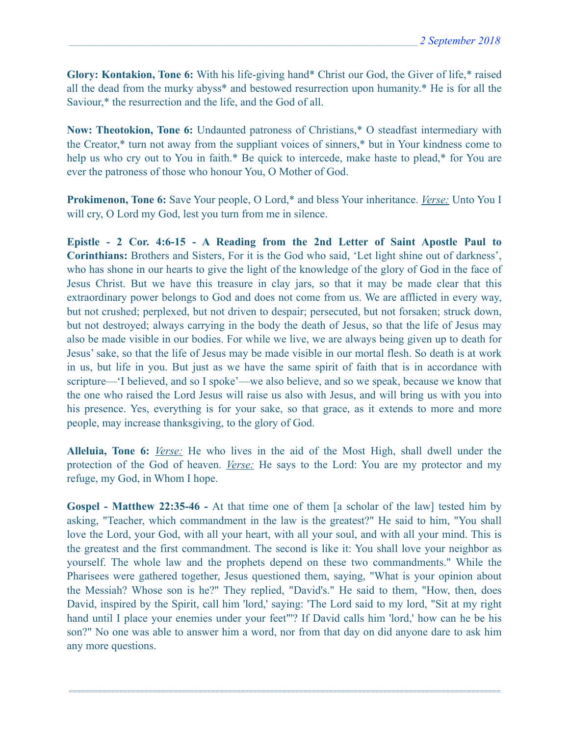**Glory: Kontakion, Tone 6:** With his life-giving hand\* Christ our God, the Giver of life,\* raised all the dead from the murky abyss\* and bestowed resurrection upon humanity.\* He is for all the Saviour,\* the resurrection and the life, and the God of all.

**Now: Theotokion, Tone 6:** Undaunted patroness of Christians,\* O steadfast intermediary with the Creator,\* turn not away from the suppliant voices of sinners,\* but in Your kindness come to help us who cry out to You in faith.\* Be quick to intercede, make haste to plead,\* for You are ever the patroness of those who honour You, O Mother of God.

**Prokimenon, Tone 6:** Save Your people, O Lord,\* and bless Your inheritance. *Verse:* Unto You I will cry, O Lord my God, lest you turn from me in silence.

**Epistle - 2 Cor. 4:6-15 - A Reading from the 2nd Letter of Saint Apostle Paul to Corinthians:** Brothers and Sisters, For it is the God who said, 'Let light shine out of darkness', who has shone in our hearts to give the light of the knowledge of the glory of God in the face of Jesus Christ. But we have this treasure in clay jars, so that it may be made clear that this extraordinary power belongs to God and does not come from us. We are afflicted in every way, but not crushed; perplexed, but not driven to despair; persecuted, but not forsaken; struck down, but not destroyed; always carrying in the body the death of Jesus, so that the life of Jesus may also be made visible in our bodies. For while we live, we are always being given up to death for Jesus' sake, so that the life of Jesus may be made visible in our mortal flesh. So death is at work in us, but life in you. But just as we have the same spirit of faith that is in accordance with scripture—'I believed, and so I spoke'—we also believe, and so we speak, because we know that the one who raised the Lord Jesus will raise us also with Jesus, and will bring us with you into his presence. Yes, everything is for your sake, so that grace, as it extends to more and more people, may increase thanksgiving, to the glory of God.

**Alleluia, Tone 6:** *Verse:* He who lives in the aid of the Most High, shall dwell under the protection of the God of heaven. *Verse:* He says to the Lord: You are my protector and my refuge, my God, in Whom I hope.

**Gospel - Matthew 22:35-46 -** At that time one of them [a scholar of the law] tested him by asking, "Teacher, which commandment in the law is the greatest?" He said to him, "You shall love the Lord, your God, with all your heart, with all your soul, and with all your mind. This is the greatest and the first commandment. The second is like it: You shall love your neighbor as yourself. The whole law and the prophets depend on these two commandments." While the Pharisees were gathered together, Jesus questioned them, saying, "What is your opinion about the Messiah? Whose son is he?" They replied, "David's." He said to them, "How, then, does David, inspired by the Spirit, call him 'lord,' saying: 'The Lord said to my lord, "Sit at my right hand until I place your enemies under your feet"'? If David calls him 'lord,' how can he be his son?" No one was able to answer him a word, nor from that day on did anyone dare to ask him any more questions.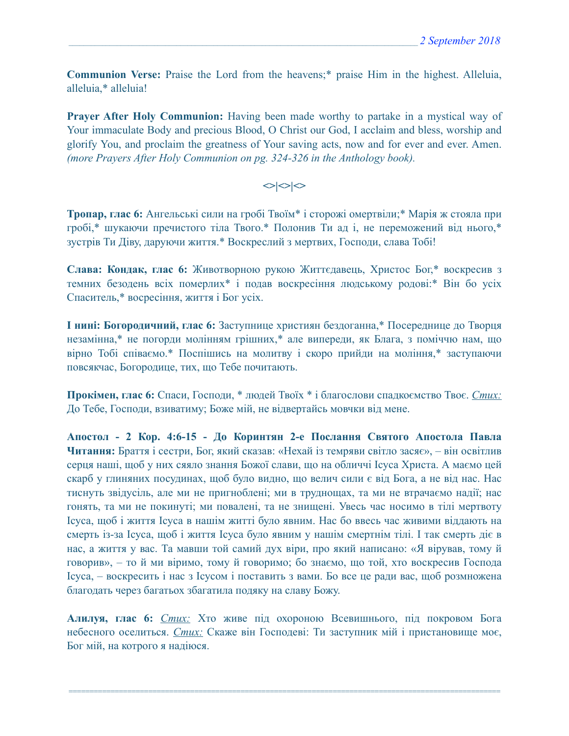**Communion Verse:** Praise the Lord from the heavens;\* praise Him in the highest. Alleluia, alleluia,\* alleluia!

**Prayer After Holy Communion:** Having been made worthy to partake in a mystical way of Your immaculate Body and precious Blood, O Christ our God, I acclaim and bless, worship and glorify You, and proclaim the greatness of Your saving acts, now and for ever and ever. Amen. *(more Prayers After Holy Communion on pg. 324-326 in the Anthology book).* 

### $\langle$

**Тропар, глас 6:** Ангельські сили на гробі Твоїм\* і сторожі омертвіли;\* Марія ж стояла при гробі,\* шукаючи пречистого тіла Твого.\* Полонив Ти ад і, не переможений від нього,\* зустрів Ти Діву, даруючи життя.\* Воскреслий з мертвих, Господи, слава Тобі!

**Слава: Кондак, глас 6:** Животворною рукою Життєдавець, Христос Бог,\* воскресив з темних безодень всіх померлих\* і подав воскресіння людському родові:\* Він бо усіх Спаситель,\* восресіння, життя і Бог усіх.

**І нині: Богородичний, глас 6:** Заступнице християн бездоганна,\* Посереднице до Творця незамінна,\* не погорди молінням грішних,\* але випереди, як Блага, з поміччю нам, що вірно Тобі співаємо.\* Поспішись на молитву і скоро прийди на моління,\* заступаючи повсякчас, Богородице, тих, що Тебе почитають.

**Прокімен, глас 6:** Спаси, Господи, \* людей Твоїх \* і благослови спадкоємство Твоє. *Стих:* До Тебе, Господи, взиватиму; Боже мій, не відвертайсь мовчки від мене.

**Апостол - 2 Кор. 4:6-15 - До Коринтян 2-e Послання Святого Апостола Павла Читання:** Браття і сестри, Бог, який сказав: «Нехай із темряви світло засяє», – він освітлив серця наші, щоб у них сяяло знання Божої слави, що на обличчі Ісуса Христа. А маємо цей скарб у глиняних посудинах, щоб було видно, що велич сили є від Бога, а не від нас. Нас тиснуть звідусіль, але ми не пригноблені; ми в труднощах, та ми не втрачаємо надії; нас гонять, та ми не покинуті; ми повалені, та не знищені. Увесь час носимо в тілі мертвоту Ісуса, щоб і життя Ісуса в нашім житті було явним. Нас бо ввесь час живими віддають на смерть із-за Ісуса, щоб і життя Ісуса було явним у нашім смертнім тілі. І так смерть діє в нас, а життя у вас. Та мавши той самий дух віри, про який написано: «Я вірував, тому й говорив», – то й ми віримо, тому й говоримо; бо знаємо, що той, хто воскресив Господа Ісуса, – воскресить і нас з Ісусом і поставить з вами. Бо все це ради вас, щоб розмножена благодать через багатьох збагатила подяку на славу Божу.

**Алилуя, глас 6:** *Стих:* Хто живе під охороною Всевишнього, під покровом Бога небесного оселиться. *Стих:* Скаже він Господеві: Ти заступник мій і пристановище моє, Бог мій, на котрого я надіюся.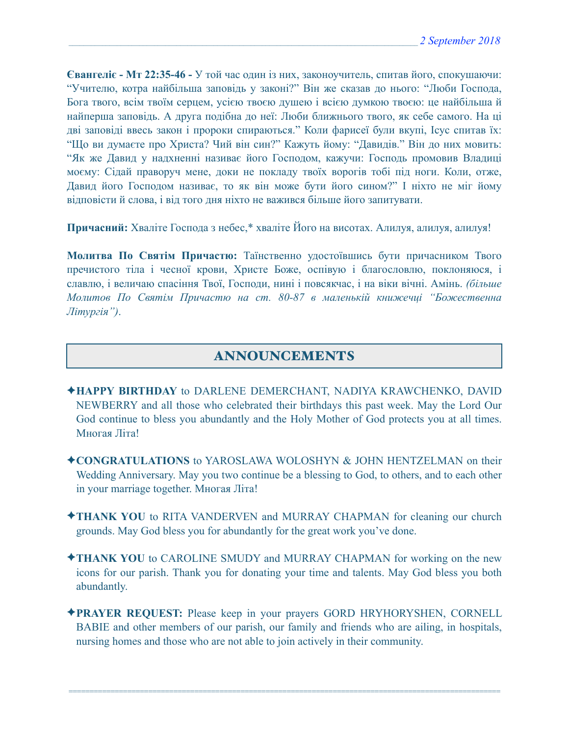**Євангеліє - Мт 22:35-46 -** У той час один із них, законоучитель, спитав його, спокушаючи: "Учителю, котра найбільша заповідь у законі?" Він же сказав до нього: "Люби Господа, Бога твого, всім твоїм серцем, усією твоєю душею і всією думкою твоєю: це найбільша й найперша заповідь. А друга подібна до неї: Люби ближнього твого, як себе самого. На ці дві заповіді ввесь закон і пророки спираються." Коли фарисеї були вкупі, Ісус спитав їх: "Що ви думаєте про Христа? Чий він син?" Кажуть йому: "Давидів." Він до них мовить: "Як же Давид у надхненні називає його Господом, кажучи: Господь промовив Владиці моєму: Сідай праворуч мене, доки не покладу твоїх ворогів тобі під ноги. Коли, отже, Давид його Господом називає, то як він може бути його сином?" І ніхто не міг йому відповісти й слова, і від того дня ніхто не важився більше його запитувати.

**Причасний:** Хваліте Господа з небес,\* хваліте Його на висотах. Алилуя, алилуя, алилуя!

**Молитва По Святім Причастю:** Таїнственно удостоївшись бути причасником Твого пречистого тіла і чесної крови, Христе Боже, оспівую і благословлю, поклоняюся, і славлю, і величаю спасіння Твої, Господи, нині і повсякчас, і на віки вічні. Амінь. *(більше Молитов По Святім Причастю на ст. 80-87 в маленькій книжечці "Божественна Літургія")*.

# ANNOUNCEMENTS

- ✦**HAPPY BIRTHDAY** to DARLENE DEMERCHANT, NADIYA KRAWCHENKO, DAVID NEWBERRY and all those who celebrated their birthdays this past week. May the Lord Our God continue to bless you abundantly and the Holy Mother of God protects you at all times. Многая Літа!
- ✦**CONGRATULATIONS** to YAROSLAWA WOLOSHYN & JOHN HENTZELMAN on their Wedding Anniversary. May you two continue be a blessing to God, to others, and to each other in your marriage together. Многая Літа!
- ✦**THANK YOU** to RITA VANDERVEN and MURRAY CHAPMAN for cleaning our church grounds. May God bless you for abundantly for the great work you've done.
- ✦**THANK YOU** to CAROLINE SMUDY and MURRAY CHAPMAN for working on the new icons for our parish. Thank you for donating your time and talents. May God bless you both abundantly.
- ✦**PRAYER REQUEST:** Please keep in your prayers GORD HRYHORYSHEN, CORNELL BABIE and other members of our parish, our family and friends who are ailing, in hospitals, nursing homes and those who are not able to join actively in their community.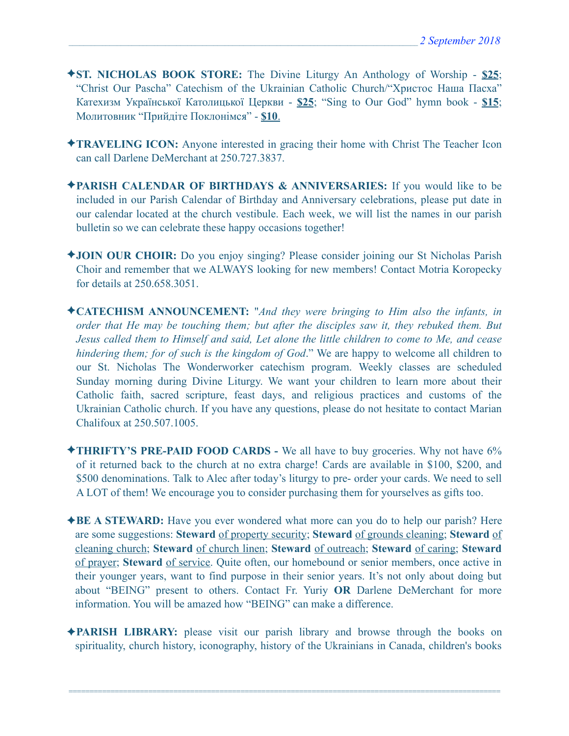- ✦**ST. NICHOLAS BOOK STORE:** The Divine Liturgy An Anthology of Worship **\$25**; "Christ Our Pascha" Catechism of the Ukrainian Catholic Church/"Христос Наша Пасха" Катехизм Української Католицької Церкви - **\$25**; "Sing to Our God" hymn book - **\$15**; Молитовник "Прийдіте Поклонімся" - **\$10**.
- ✦**TRAVELING ICON:** Anyone interested in gracing their home with Christ The Teacher Icon can call Darlene DeMerchant at 250.727.3837.
- ✦**PARISH CALENDAR OF BIRTHDAYS & ANNIVERSARIES:** If you would like to be included in our Parish Calendar of Birthday and Anniversary celebrations, please put date in our calendar located at the church vestibule. Each week, we will list the names in our parish bulletin so we can celebrate these happy occasions together!
- ✦**JOIN OUR CHOIR:** Do you enjoy singing? Please consider joining our St Nicholas Parish Choir and remember that we ALWAYS looking for new members! Contact Motria Koropecky for details at 250.658.3051.
- ✦**CATECHISM ANNOUNCEMENT:** "*And they were bringing to Him also the infants, in order that He may be touching them; but after the disciples saw it, they rebuked them. But Jesus called them to Himself and said, Let alone the little children to come to Me, and cease hindering them; for of such is the kingdom of God*." We are happy to welcome all children to our St. Nicholas The Wonderworker catechism program. Weekly classes are scheduled Sunday morning during Divine Liturgy. We want your children to learn more about their Catholic faith, sacred scripture, feast days, and religious practices and customs of the Ukrainian Catholic church. If you have any questions, please do not hesitate to contact Marian Chalifoux at 250.507.1005.
- ✦**THRIFTY'S PRE-PAID FOOD CARDS** We all have to buy groceries. Why not have 6% of it returned back to the church at no extra charge! Cards are available in \$100, \$200, and \$500 denominations. Talk to Alec after today's liturgy to pre- order your cards. We need to sell A LOT of them! We encourage you to consider purchasing them for yourselves as gifts too.
- ✦**BE A STEWARD:** Have you ever wondered what more can you do to help our parish? Here are some suggestions: **Steward** of property security; **Steward** of grounds cleaning; **Steward** of cleaning church; **Steward** of church linen; **Steward** of outreach; **Steward** of caring; **Steward** of prayer; **Steward** of service. Quite often, our homebound or senior members, once active in their younger years, want to find purpose in their senior years. It's not only about doing but about "BEING" present to others. Contact Fr. Yuriy **OR** Darlene DeMerchant for more information. You will be amazed how "BEING" can make a difference.
- ✦**PARISH LIBRARY:** please visit our parish library and browse through the books on spirituality, church history, iconography, history of the Ukrainians in Canada, children's books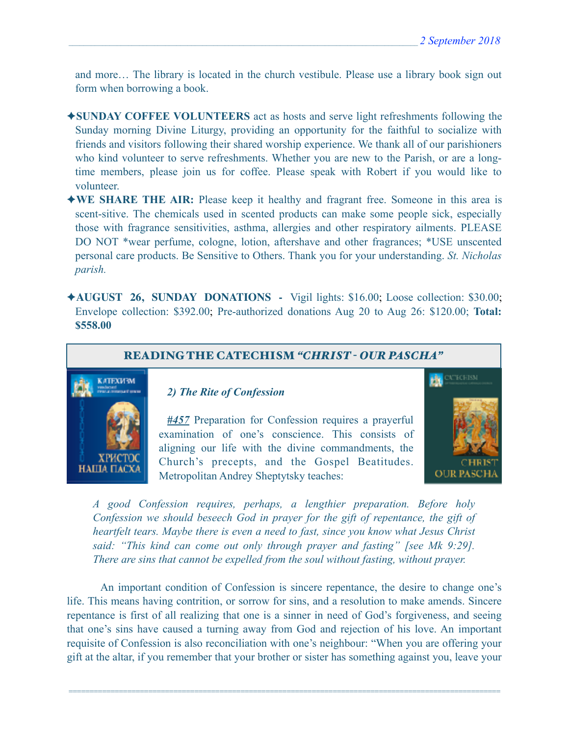and more… The library is located in the church vestibule. Please use a library book sign out form when borrowing a book.

- ✦**SUNDAY COFFEE VOLUNTEERS** act as hosts and serve light refreshments following the Sunday morning Divine Liturgy, providing an opportunity for the faithful to socialize with friends and visitors following their shared worship experience. We thank all of our parishioners who kind volunteer to serve refreshments. Whether you are new to the Parish, or are a longtime members, please join us for coffee. Please speak with Robert if you would like to volunteer.
- ✦**WE SHARE THE AIR:** Please keep it healthy and fragrant free. Someone in this area is scent-sitive. The chemicals used in scented products can make some people sick, especially those with fragrance sensitivities, asthma, allergies and other respiratory ailments. PLEASE DO NOT \*wear perfume, cologne, lotion, aftershave and other fragrances; \*USE unscented personal care products. Be Sensitive to Others. Thank you for your understanding. *St. Nicholas parish.*
- ✦**AUGUST 26, SUNDAY DONATIONS** Vigil lights: \$16.00; Loose collection: \$30.00; Envelope collection: \$392.00; Pre-authorized donations Aug 20 to Aug 26: \$120.00; **Total: \$558.00**



*A good Confession requires, perhaps, a lengthier preparation. Before holy Confession we should beseech God in prayer for the gift of repentance, the gift of heartfelt tears. Maybe there is even a need to fast, since you know what Jesus Christ said: "This kind can come out only through prayer and fasting" [see Mk 9:29]. There are sins that cannot be expelled from the soul without fasting, without prayer.* 

 An important condition of Confession is sincere repentance, the desire to change one's life. This means having contrition, or sorrow for sins, and a resolution to make amends. Sincere repentance is first of all realizing that one is a sinner in need of God's forgiveness, and seeing that one's sins have caused a turning away from God and rejection of his love. An important requisite of Confession is also reconciliation with one's neighbour: "When you are offering your gift at the altar, if you remember that your brother or sister has something against you, leave your